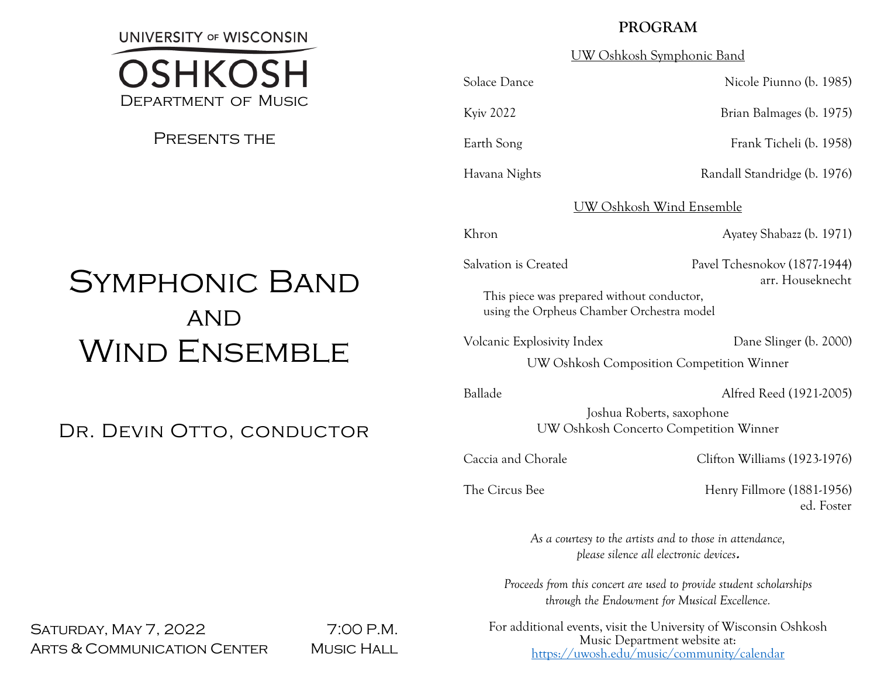**UNIVERSITY OF WISCONSIN** 



PRESENTS THE

# **PROGRAM**

UW Oshkosh Symphonic Band

Solace Dance Nicole Piunno (b. 1985)

Kyiv 2022 Brian Balmages (b. 1975)

Earth Song Frank Ticheli (b. 1958)

Havana Nights **Randall Standridge (b. 1976)** 

# UW Oshkosh Wind Ensemble

Khron Ayatey Shabazz (b. 1971)

## Salvation is Created Pavel Tchesnokov (1877-1944) arr. Houseknecht

This piece was prepared without conductor, using the Orpheus Chamber Orchestra model

Volcanic Explosivity Index Dane Slinger (b. 2000)

UW Oshkosh Composition Competition Winner

Ballade Alfred Reed (1921-2005)

Joshua Roberts, saxophone UW Oshkosh Concerto Competition Winner

Caccia and Chorale Clifton Williams (1923-1976)

The Circus Bee Henry Fillmore (1881-1956) ed. Foster

> *As a courtesy to the artists and to those in attendance, please silence all electronic devices***.**

*Proceeds from this concert are used to provide student scholarships through the Endowment for Musical Excellence.*

For additional events, visit the University of Wisconsin Oshkosh Music Department website at: <https://uwosh.edu/music/community/calendar>

# Symphonic Band **AND** WIND ENSEMBLE

DR. DEVIN OTTO, CONDUCTOR

SATURDAY, MAY 7, 2022 7:00 P.M. ARTS & COMMUNICATION CENTER MUSIC HALL